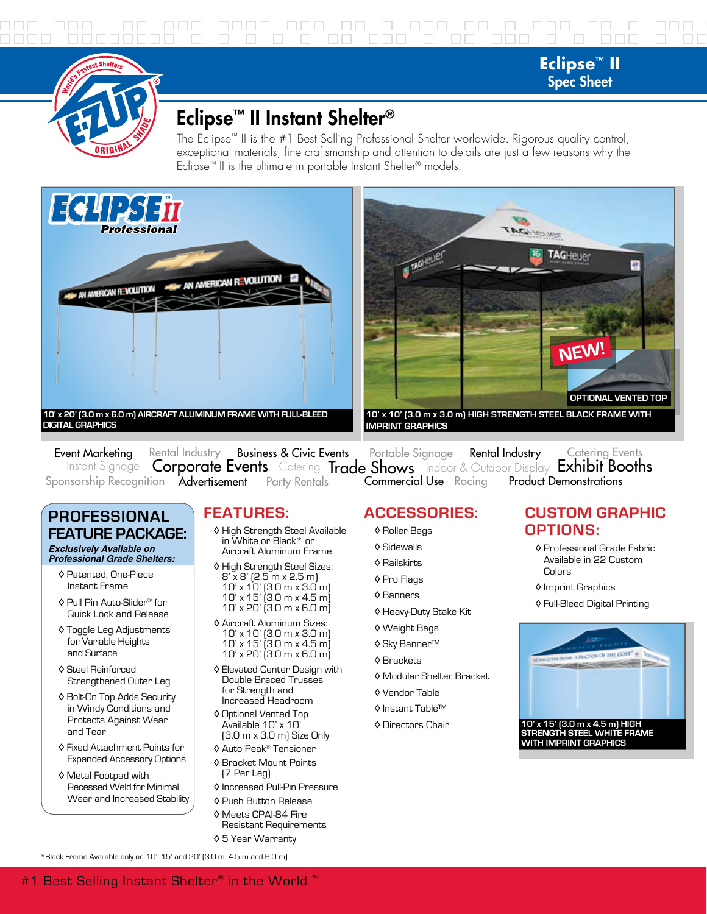# 0000 000 00 0 000 00 0 000 00

**Eclipse™ II** Spec Sheet



# Eclipse™ II Instant Shelter®

The Eclipse™ II is the #1 Best Selling Professional Shelter worldwide. Rigorous quality control, exceptional materials, fine craftsmanship and attention to details are just a few reasons why the Eclipse™ II is the ultimate in portable Instant Shelter® models.





Event Marketing Rental Industry Business & Civic Events Portable Signage Rental Industry Catering Events<br>Instant Signage Corporate Events Catering Trade Shows Indoor & Outdoor Display Exhibit Booths Sponsorship Recognition Padvertisement Party Rentals Product Demonstrations Rental Industry Business & Civic Events Portable Signage Rental Industry Catering Events **Commercial Use** Racing

#### **PROFESSIONAL FEATURE PACKAGE:** *Exclusively Available on*

*Professional Grade Shelters:*

- ◊ Patented, One-Piece Instant Frame
- ◊ Pull Pin Auto-Slider® for Quick Lock and Release
- ◊ Toggle Leg Adjustments for Variable Heights and Surface
- ◊ Steel Reinforced Strengthened Outer Leg
- ◊ Bolt-On Top Adds Security in Windy Conditions and Protects Against Wear and Tear
- ◊ Fixed Attachment Points for Expanded Accessory Options
- ◊ Metal Footpad with Recessed Weld for Minimal Wear and Increased Stability

# **FEATURES:**

- ◊ High Strength Steel Available in White or Black\* or Aircraft Aluminum Frame
- ◊ High Strength Steel Sizes: 8' x 8' (2.5 m x 2.5 m) 10' x 10' (3.0 m x 3.0 m) 10' x 15' (3.0 m x 4.5 m) 10' x 20' (3.0 m x 6.0 m)
- ◊ Aircraft Aluminum Sizes: 10' x 10' (3.0 m x 3.0 m) 10' x 15' (3.0 m x 4.5 m) 10' x 20' (3.0 m x 6.0 m)
- ◊ Elevated Center Design with Double Braced Trusses for Strength and Increased Headroom
- ◊ Optional Vented Top Available 10' x 10' (3.0 m x 3.0 m) Size Only
- ◊ Auto Peak® Tensioner
- ◊ Bracket Mount Points (7 Per Leg)
- ◊ Increased Pull-Pin Pressure
- ◊ Push Button Release
- ◊ Meets CPAI-84 Fire Resistant Requirements ◊ 5 Year Warranty

## **ACCESSORIES:**

- ◊ Roller Bags
- ◊ Sidewalls
- ◊ Railskirts
- ◊ Pro Flags
- ◊ Banners
- ◊ Heavy-Duty Stake Kit
- ◊ Weight Bags
- ◊ Sky Banner™
- ◊ Brackets
- ◊ Modular Shelter Bracket
- ◊ Vendor Table
- ◊ Instant Table™
- ◊ Directors Chair

### **CUSTOM GRAPHIC OPTIONS:**

- ◊ Professional Grade Fabric Available in 22 Custom Colors
- ◊ Imprint Graphics
- ◊ Full-Bleed Digital Printing